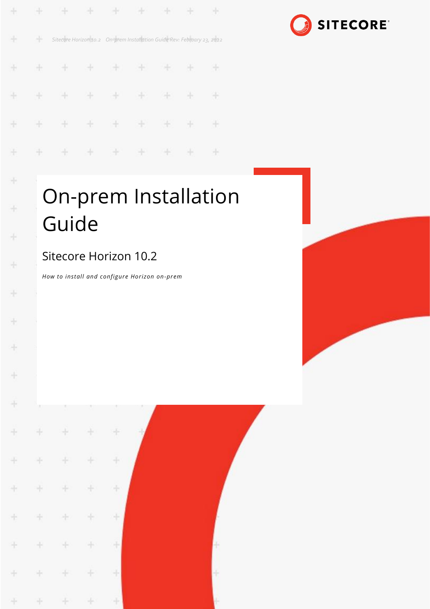| $\pm$         |    |  | .                                                                       |  |   |
|---------------|----|--|-------------------------------------------------------------------------|--|---|
| 98            | ₩. |  | Sitecore Horizon 10.2 On-prem Installation Guide Rev: February 23, 2022 |  |   |
| $\frac{1}{2}$ |    |  | + + + + + + + +                                                         |  |   |
| $\frac{1}{2}$ |    |  | .                                                                       |  |   |
| $+$           |    |  | + + + + + + +                                                           |  | æ |
| ÷             |    |  | .                                                                       |  |   |



# On-prem Installation Guide

### Sitecore Horizon 10.2

 $\frac{1}{10}$ 

ł

÷

÷

÷

÷

*How to install and configure Horizon on-prem*

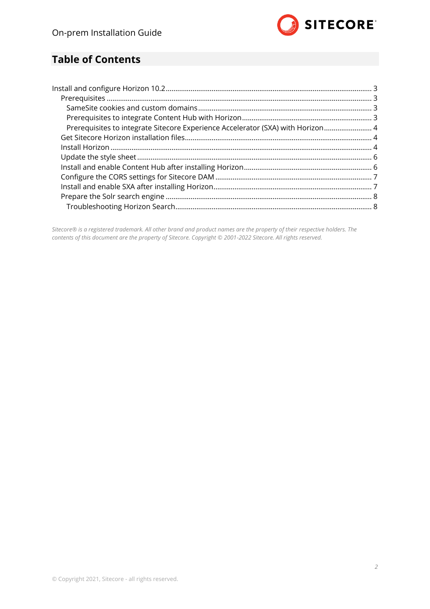

#### **Table of Contents**

| Prerequisites to integrate Sitecore Experience Accelerator (SXA) with Horizon 4 |  |
|---------------------------------------------------------------------------------|--|
|                                                                                 |  |
|                                                                                 |  |
|                                                                                 |  |
|                                                                                 |  |
|                                                                                 |  |
|                                                                                 |  |
|                                                                                 |  |
|                                                                                 |  |
|                                                                                 |  |

*Sitecore® is a registered trademark. All other brand and product names are the property of their respective holders. The contents of this document are the property of Sitecore. Copyright © 2001-2022 Sitecore. All rights reserved.*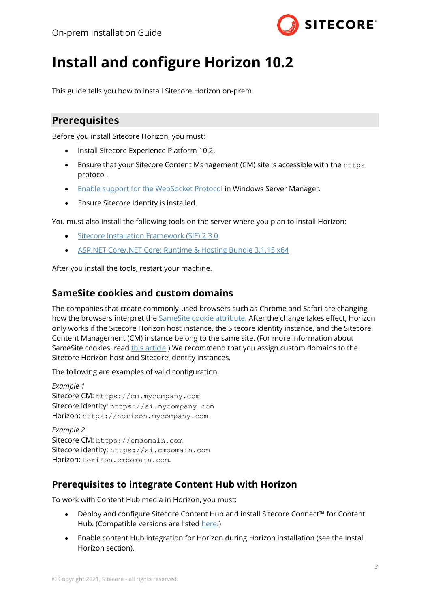

## <span id="page-2-0"></span>**Install and configure Horizon 10.2**

<span id="page-2-1"></span>This guide tells you how to install Sitecore Horizon on-prem.

#### **Prerequisites**

Before you install Sitecore Horizon, you must:

- Install Sitecore Experience Platform 10.2.
- Ensure that your Sitecore Content Management (CM) site is accessible with the https protocol.
- **[Enable support for the WebSocket Protocol](https://docs.microsoft.com/en-us/iis/get-started/whats-new-in-iis-8/iis-80-websocket-protocol-support) in Windows Server Manager.**
- Ensure Sitecore Identity is installed.

You must also install the following tools on the server where you plan to install Horizon:

- [Sitecore Installation Framework \(SIF\) 2.3.0](https://dev.sitecore.net/Downloads/Sitecore_Installation_Framework/2x/Sitecore_Installation_Framework_230.aspx)
- [ASP.NET Core/.NET Core: Runtime & Hosting Bundle 3.1.15 x64](https://dotnet.microsoft.com/download/dotnet/3.1)

<span id="page-2-2"></span>After you install the tools, restart your machine.

#### **SameSite cookies and custom domains**

The companies that create commonly-used browsers such as Chrome and Safari are changing how the browsers interpret the [SameSite cookie attribute.](https://www.chromium.org/updates/same-site) After the change takes effect, Horizon only works if the Sitecore Horizon host instance, the Sitecore identity instance, and the Sitecore Content Management (CM) instance belong to the same site. (For more information about SameSite cookies, read [this article.](https://web.dev/samesite-cookies-explained/#explicitly-state-cookie-usage-with-the-samesite-attribute)) We recommend that you assign custom domains to the Sitecore Horizon host and Sitecore identity instances.

The following are examples of valid configuration:

```
Example 1
Sitecore CM: https://cm.mycompany.com
Sitecore identity: https://si.mycompany.com
Horizon: https://horizon.mycompany.com
```

```
Example 2
Sitecore CM: https://cmdomain.com
Sitecore identity: https://si.cmdomain.com
Horizon: Horizon.cmdomain.com.
```
#### <span id="page-2-3"></span>**Prerequisites to integrate Content Hub with Horizon**

To work with Content Hub media in Horizon, you must:

- Deploy and configure Sitecore Content Hub and install Sitecore Connect™ for Content Hub. (Compatible versions are listed [here.](https://support.sitecore.com/kb?id=kb_article_view&sysparm_article=KB0505663))
- Enable content Hub integration for Horizon during Horizon installation (see the Install Horizon section).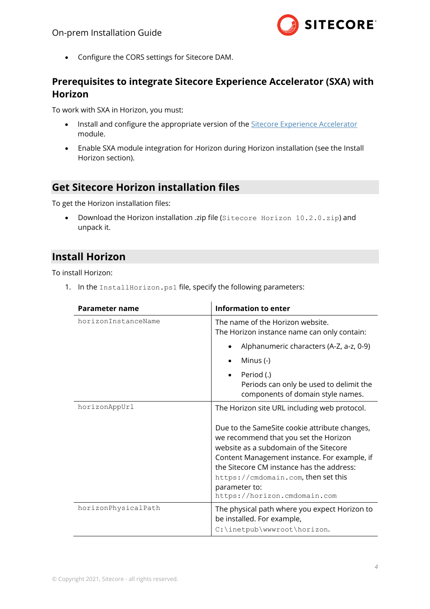

• [Configure the CORS settings for Sitecore DAM.](#page-6-0)

#### <span id="page-3-0"></span>**Prerequisites to integrate Sitecore Experience Accelerator (SXA) with Horizon**

To work with SXA in Horizon, you must:

- Install and configure the appropriate version of the [Sitecore Experience Accelerator](https://dev.sitecore.net/Downloads/Sitecore_Experience_Accelerator.aspx) module.
- Enable SXA module integration for Horizon during Horizon installation (see the Install Horizon section).

#### <span id="page-3-1"></span>**Get Sitecore Horizon installation files**

To get the Horizon installation files:

• Download the Horizon installation .zip file (Sitecore Horizon 10.2.0.zip) and unpack it.

#### <span id="page-3-2"></span>**Install Horizon**

To install Horizon:

1. In the InstallHorizon.ps1 file, specify the following parameters:

| Parameter name      | <b>Information to enter</b>                                                                                                                                                                                                                                                                                           |  |  |
|---------------------|-----------------------------------------------------------------------------------------------------------------------------------------------------------------------------------------------------------------------------------------------------------------------------------------------------------------------|--|--|
| horizonInstanceName | The name of the Horizon website.<br>The Horizon instance name can only contain:                                                                                                                                                                                                                                       |  |  |
|                     | Alphanumeric characters (A-Z, a-z, 0-9)<br>$\bullet$                                                                                                                                                                                                                                                                  |  |  |
|                     | Minus $(-)$                                                                                                                                                                                                                                                                                                           |  |  |
|                     | Period (.)<br>Periods can only be used to delimit the<br>components of domain style names.                                                                                                                                                                                                                            |  |  |
| horizonAppUrl       | The Horizon site URL including web protocol.                                                                                                                                                                                                                                                                          |  |  |
|                     | Due to the SameSite cookie attribute changes,<br>we recommend that you set the Horizon<br>website as a subdomain of the Sitecore<br>Content Management instance. For example, if<br>the Sitecore CM instance has the address:<br>https://cmdomain.com, then set this<br>parameter to:<br>https://horizon.cmdomain.com |  |  |
| horizonPhysicalPath | The physical path where you expect Horizon to<br>be installed. For example,<br>C:\inetpub\wwwroot\horizon.                                                                                                                                                                                                            |  |  |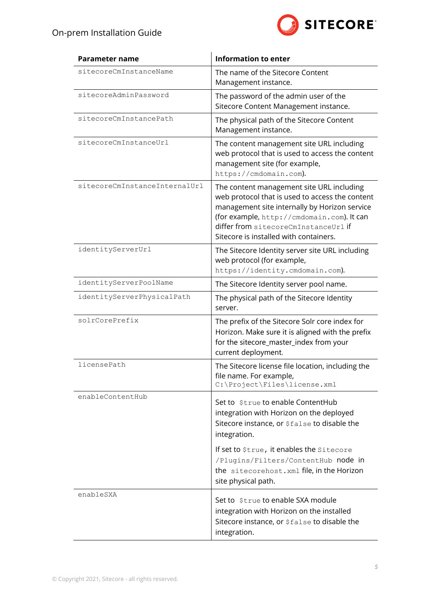

| <b>Parameter name</b>         | <b>Information to enter</b>                                                                                                                                                                                                                                                   |  |  |
|-------------------------------|-------------------------------------------------------------------------------------------------------------------------------------------------------------------------------------------------------------------------------------------------------------------------------|--|--|
| sitecoreCmInstanceName        | The name of the Sitecore Content<br>Management instance.                                                                                                                                                                                                                      |  |  |
| sitecoreAdminPassword         | The password of the admin user of the<br>Sitecore Content Management instance.                                                                                                                                                                                                |  |  |
| sitecoreCmInstancePath        | The physical path of the Sitecore Content<br>Management instance.                                                                                                                                                                                                             |  |  |
| sitecoreCmInstanceUrl         | The content management site URL including<br>web protocol that is used to access the content<br>management site (for example,<br>https://cmdomain.com).                                                                                                                       |  |  |
| sitecoreCmInstanceInternalUrl | The content management site URL including<br>web protocol that is used to access the content<br>management site internally by Horizon service<br>(for example, http://cmdomain.com). It can<br>differ from sitecoreCmInstanceUrl if<br>Sitecore is installed with containers. |  |  |
| identityServerUrl             | The Sitecore Identity server site URL including<br>web protocol (for example,<br>https://identity.cmdomain.com).                                                                                                                                                              |  |  |
| identityServerPoolName        | The Sitecore Identity server pool name.                                                                                                                                                                                                                                       |  |  |
| identityServerPhysicalPath    | The physical path of the Sitecore Identity<br>server.                                                                                                                                                                                                                         |  |  |
| solrCorePrefix                | The prefix of the Sitecore Solr core index for<br>Horizon. Make sure it is aligned with the prefix<br>for the sitecore_master_index from your<br>current deployment.                                                                                                          |  |  |
| licensePath                   | The Sitecore license file location, including the<br>file name. For example,<br>C:\Project\Files\license.xml                                                                                                                                                                  |  |  |
| enableContentHub              | Set to \$true to enable ContentHub<br>integration with Horizon on the deployed<br>Sitecore instance, or \$false to disable the<br>integration.                                                                                                                                |  |  |
|                               | If set to \$true, it enables the Sitecore<br>/Plugins/Filters/ContentHub node in<br>the sitecorehost. xml file, in the Horizon<br>site physical path.                                                                                                                         |  |  |
| enableSXA                     | Set to \$true to enable SXA module<br>integration with Horizon on the installed<br>Sitecore instance, or \$false to disable the<br>integration.                                                                                                                               |  |  |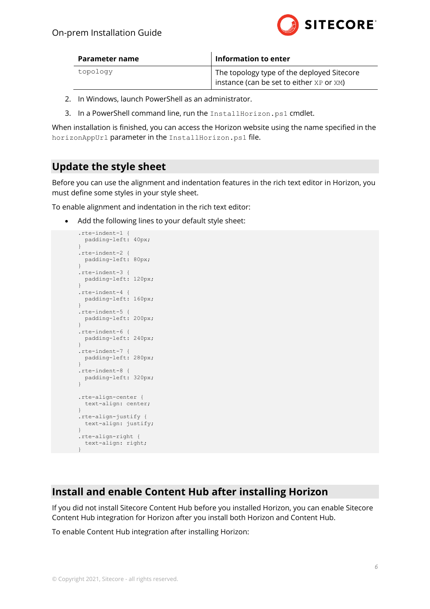

| Parameter name | <b>Information to enter</b>                                                            |  |  |  |
|----------------|----------------------------------------------------------------------------------------|--|--|--|
| topology       | The topology type of the deployed Sitecore<br>instance (can be set to either XP or XM) |  |  |  |

- 2. In Windows, launch PowerShell as an administrator.
- 3. In a PowerShell command line, run the InstallHorizon.ps1 cmdlet.

When installation is finished, you can access the Horizon website using the name specified in the horizonAppUrl parameter in the InstallHorizon.ps1 file.

#### <span id="page-5-0"></span>**Update the style sheet**

Before you can use the alignment and indentation features in the rich text editor in Horizon, you must define some styles in your style sheet.

To enable alignment and indentation in the rich text editor:

Add the following lines to your default style sheet:

```
.rte-indent-1 {
  padding-left: 40px;
}
.rte-indent-2 {
  padding-left: 80px;
}
.rte-indent-3 {
  padding-left: 120px;
}
.rte-indent-4 {
  padding-left: 160px;
}
.rte-indent-5 {
  padding-left: 200px;
}
.rte-indent-6 {
  padding-left: 240px;
}
.rte-indent-7 {
  padding-left: 280px;
}
.rte-indent-8 {
  padding-left: 320px;
}
.rte-align-center {
  text-align: center;
}
.rte-align-justify {
  text-align: justify;
}
.rte-align-right {
  text-align: right;
}
```
#### <span id="page-5-1"></span>**Install and enable Content Hub after installing Horizon**

If you did not install Sitecore Content Hub before you installed Horizon, you can enable Sitecore Content Hub integration for Horizon after you install both Horizon and Content Hub.

To enable Content Hub integration after installing Horizon: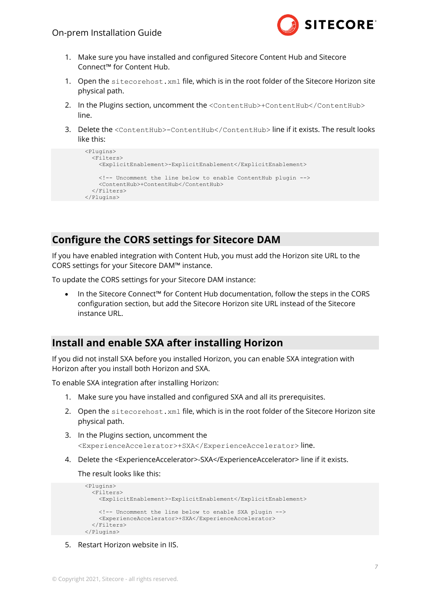

- 1. Make sure you have installed and configured Sitecore Content Hub and Sitecore Connect™ for Content Hub.
- 1. Open the sitecorehost.xml file, which is in the root folder of the Sitecore Horizon site physical path.
- 2. In the Plugins section, uncomment the <ContentHub>+ContentHub</ContentHub> line.
- 3. Delete the <ContentHub>-ContentHub</ContentHub> line if it exists. The result looks like this:

```
 <Plugins>
   <Filters>
     <ExplicitEnablement>-ExplicitEnablement</ExplicitEnablement>
     <!-- Uncomment the line below to enable ContentHub plugin -->
    <ContentHub>+ContentHub</ContentHub>
   </Filters>
 </Plugins>
```
#### <span id="page-6-0"></span>**Configure the CORS settings for Sitecore DAM**

If you have enabled integration with Content Hub, you must add the Horizon site URL to the CORS settings for your Sitecore DAM™ instance.

To update the CORS settings for your Sitecore DAM instance:

• In the Sitecore Connect™ for Content Hub documentation, follow the steps in the CORS configuration section, but add the Sitecore Horizon site URL instead of the Sitecore instance URL.

#### <span id="page-6-1"></span>**Install and enable SXA after installing Horizon**

If you did not install SXA before you installed Horizon, you can enable SXA integration with Horizon after you install both Horizon and SXA.

To enable SXA integration after installing Horizon:

- 1. Make sure you have installed and configured SXA and all its prerequisites.
- 2. Open the sitecorehost. xml file, which is in the root folder of the Sitecore Horizon site physical path.
- 3. In the Plugins section, uncomment the <ExperienceAccelerator>+SXA</ExperienceAccelerator> line.
- 4. Delete the <ExperienceAccelerator>-SXA</ExperienceAccelerator> line if it exists.

The result looks like this:

```
 <Plugins>
  \langleFilters>
     <ExplicitEnablement>-ExplicitEnablement</ExplicitEnablement>
     <!-- Uncomment the line below to enable SXA plugin -->
     <ExperienceAccelerator>+SXA</ExperienceAccelerator>
   </Filters>
 </Plugins>
```
5. Restart Horizon website in IIS.